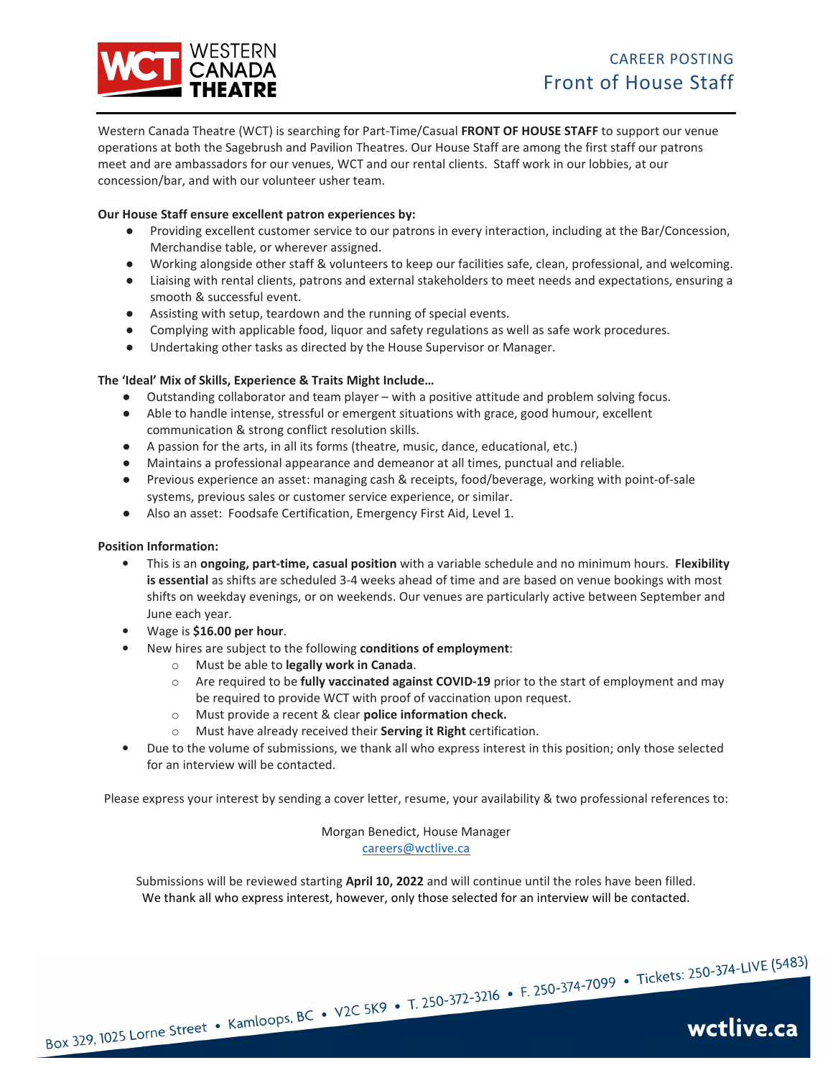

Western Canada Theatre (WCT) is searching for Part-Time/Casual **FRONT OF HOUSE STAFF** to support our venue operations at both the Sagebrush and Pavilion Theatres. Our House Staff are among the first staff our patrons meet and are ambassadors for our venues, WCT and our rental clients. Staff work in our lobbies, at our concession/bar, and with our volunteer usher team.

# **Our House Staff ensure excellent patron experiences by:**

- Providing excellent customer service to our patrons in every interaction, including at the Bar/Concession, Merchandise table, or wherever assigned.
- Working alongside other staff & volunteers to keep our facilities safe, clean, professional, and welcoming.
- Liaising with rental clients, patrons and external stakeholders to meet needs and expectations, ensuring a smooth & successful event.
- Assisting with setup, teardown and the running of special events.
- Complying with applicable food, liquor and safety regulations as well as safe work procedures.
- Undertaking other tasks as directed by the House Supervisor or Manager.

# **The 'Ideal' Mix of Skills, Experience & Traits Might Include…**

- Outstanding collaborator and team player with a positive attitude and problem solving focus.
- Able to handle intense, stressful or emergent situations with grace, good humour, excellent communication & strong conflict resolution skills.
- A passion for the arts, in all its forms (theatre, music, dance, educational, etc.)
- Maintains a professional appearance and demeanor at all times, punctual and reliable.
- Previous experience an asset: managing cash & receipts, food/beverage, working with point-of-sale systems, previous sales or customer service experience, or similar.
- Also an asset: Foodsafe Certification, Emergency First Aid, Level 1.

# **Position Information:**

- This is an **ongoing, part-time, casual position** with a variable schedule and no minimum hours. **Flexibility is essential** as shifts are scheduled 3-4 weeks ahead of time and are based on venue bookings with most shifts on weekday evenings, or on weekends. Our venues are particularly active between September and June each year.
- Wage is **\$16.00 per hour**.
- New hires are subject to the following **conditions of employment**:
	- o Must be able to **legally work in Canada**.
	- o Are required to be **fully vaccinated against COVID-19** prior to the start of employment and may be required to provide WCT with proof of vaccination upon request.
	- o Must provide a recent & clear **police information check.**
	- o Must have already received their **Serving it Right** certification.
- Due to the volume of submissions, we thank all who express interest in this position; only those selected for an interview will be contacted.

Please express your interest by sending a cover letter, resume, your availability & two professional references to:

Morgan Benedict, House Manager careers@wctlive.ca

Submissions will be reviewed starting **April 10, 2022** and will continue until the roles have been filled. We thank all who express interest, however, only those selected for an interview will be contacted.